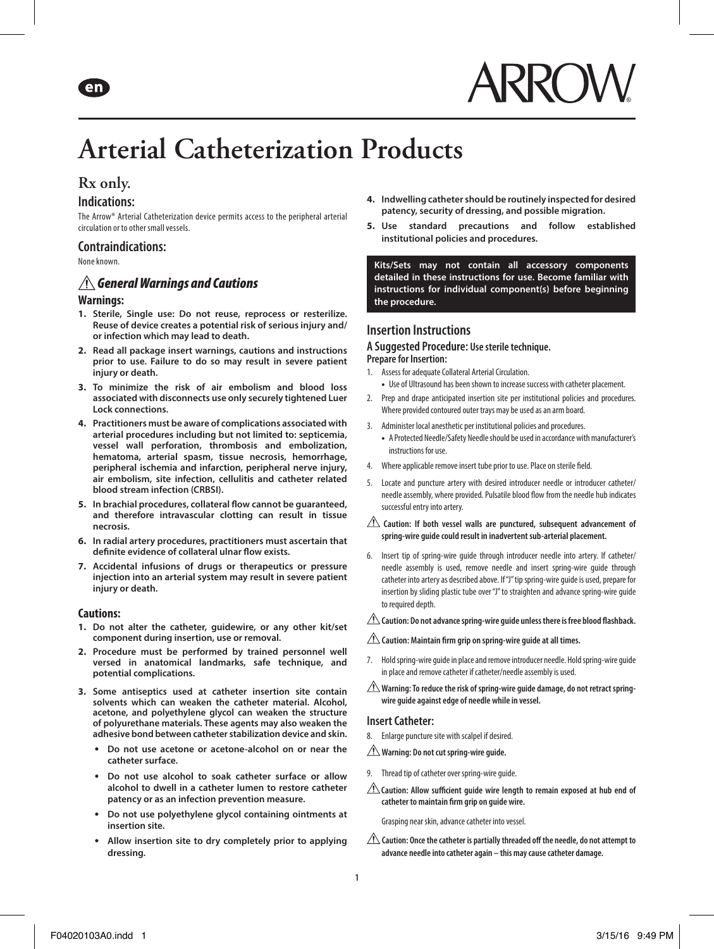# **Arterial Catheterization Products**

# **Rx only.**

eni

## **Indications:**

The Arrow® Arterial Catheterization device permits access to the peripheral arterial circulation or to other small vessels.

## **Contraindications:**

None known.

## *General Warnings and Cautions*

#### **Warnings:**

- **1. Sterile, Single use: Do not reuse, reprocess or resterilize. Reuse of device creates a potential risk of serious injury and/ or infection which may lead to death.**
- **2. Read all package insert warnings, cautions and instructions prior to use. Failure to do so may result in severe patient injury or death.**
- **3. To minimize the risk of air embolism and blood loss associated with disconnects use only securely tightened Luer Lock connections.**
- **4. Practitioners must be aware of complications associated with arterial procedures including but not limited to: septicemia, vessel wall perforation, thrombosis and embolization, hematoma, arterial spasm, tissue necrosis, hemorrhage, peripheral ischemia and infarction, peripheral nerve injury, air embolism, site infection, cellulitis and catheter related blood stream infection (CRBSI).**
- **5. In brachial procedures, collateral flow cannot be guaranteed, and therefore intravascular clotting can result in tissue necrosis.**
- **6. In radial artery procedures, practitioners must ascertain that definite evidence of collateral ulnar flow exists.**
- **7. Accidental infusions of drugs or therapeutics or pressure injection into an arterial system may result in severe patient injury or death.**

#### **Cautions:**

- **1. Do not alter the catheter, guidewire, or any other kit/set component during insertion, use or removal.**
- **2. Procedure must be performed by trained personnel well versed in anatomical landmarks, safe technique, and potential complications.**
- **3. Some antiseptics used at catheter insertion site contain solvents which can weaken the catheter material. Alcohol, acetone, and polyethylene glycol can weaken the structure of polyurethane materials. These agents may also weaken the adhesive bond between catheter stabilization device and skin.**
	- **Do not use acetone or acetone-alcohol on or near the catheter surface.**
	- **Do not use alcohol to soak catheter surface or allow alcohol to dwell in a catheter lumen to restore catheter patency or as an infection prevention measure.**
	- **Do not use polyethylene glycol containing ointments at insertion site.**
	- **Allow insertion site to dry completely prior to applying dressing.**
- **4. Indwelling catheter should be routinely inspected for desired patency, security of dressing, and possible migration.**
- **5. Use standard precautions and follow established institutional policies and procedures.**

**Kits/Sets may not contain all accessory components detailed in these instructions for use. Become familiar with instructions for individual component(s) before beginning the procedure.**

## **Insertion Instructions**

#### **A Suggested Procedure: Use sterile technique. Prepare for Insertion:**

- 1. Assess for adequate Collateral Arterial Circulation.
	- **•** Use of Ultrasound has been shown to increase success with catheter placement.
- 2. Prep and drape anticipated insertion site per institutional policies and procedures. Where provided contoured outer trays may be used as an arm board.
- 3. Administer local anesthetic per institutional policies and procedures.
	- **•** A Protected Needle/Safety Needle should be used in accordance with manufacturer's instructions for use.
- 4. Where applicable remove insert tube prior to use. Place on sterile field.
- 5. Locate and puncture artery with desired introducer needle or introducer catheter/ needle assembly, where provided. Pulsatile blood flow from the needle hub indicates successful entry into artery.
- **Caution: If both vessel walls are punctured, subsequent advancement of spring-wire guide could result in inadvertent sub-arterial placement.**
- 6. Insert tip of spring-wire guide through introducer needle into artery. If catheter/ needle assembly is used, remove needle and insert spring-wire guide through catheter into artery as described above. If "J" tip spring-wire guide is used, prepare for insertion by sliding plastic tube over "J" to straighten and advance spring-wire guide to required depth.

#### **Caution: Do not advance spring-wire guide unless there is free blood flashback.**

- **Caution: Maintain firm grip on spring-wire guide at all times.**
- 7. Hold spring-wire guide in place and remove introducer needle. Hold spring-wire guide in place and remove catheter if catheter/needle assembly is used.
- **Warning: To reduce the risk of spring-wire guide damage, do not retract springwire guide against edge of needle while in vessel.**

#### **Insert Catheter:**

- 8. Enlarge puncture site with scalpel if desired.
- **Warning: Do not cut spring-wire guide.**
- 9. Thread tip of catheter over spring-wire guide.
- **Caution: Allow sufficient guide wire length to remain exposed at hub end of catheter to maintain firm grip on guide wire.**

Grasping near skin, advance catheter into vessel.

**Caution: Once the catheter is partially threaded off the needle, do not attempt to advance needle into catheter again – this may cause catheter damage.**